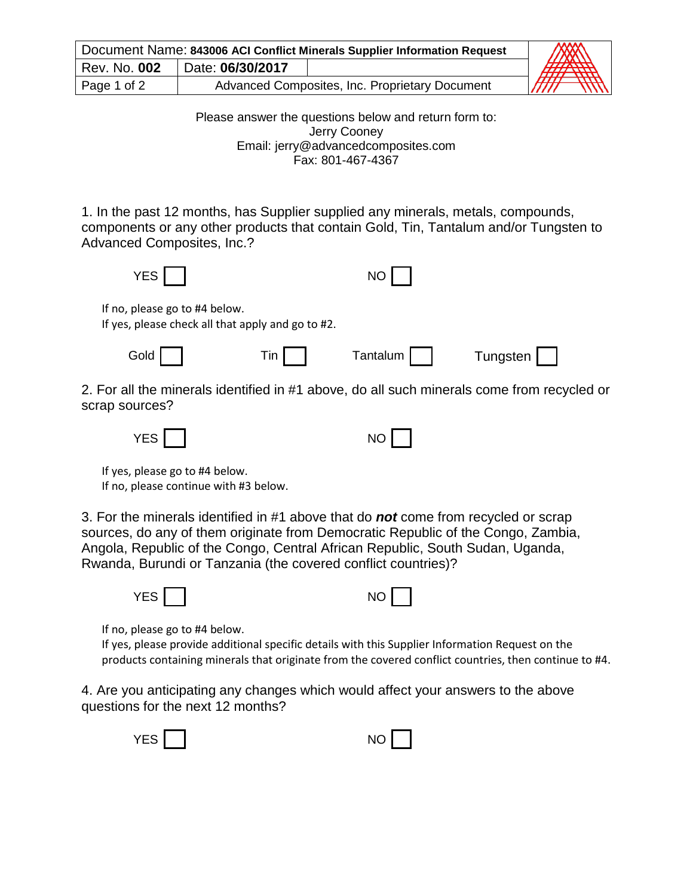| Document Name: 843006 ACI Conflict Minerals Supplier Information Request |                  |                                                | AN                   |
|--------------------------------------------------------------------------|------------------|------------------------------------------------|----------------------|
| Rev. No. 002                                                             | Date: 06/30/2017 |                                                | AHA SAHA             |
| Page 1 of 2                                                              |                  | Advanced Composites, Inc. Proprietary Document | <i>TTTT</i><br>,,,,, |

Please answer the questions below and return form to: Jerry Cooney Email: jerry@advancedcomposites.com Fax: 801-467-4367

1. In the past 12 months, has Supplier supplied any minerals, metals, compounds, components or any other products that contain Gold, Tin, Tantalum and/or Tungsten to Advanced Composites, Inc.?

| <b>YES</b>                                                                                                   |        | NO       |          |  |
|--------------------------------------------------------------------------------------------------------------|--------|----------|----------|--|
| If no, please go to #4 below.<br>If yes, please check all that apply and go to #2.                           |        |          |          |  |
| Gold                                                                                                         | $T$ in | Tantalum | Tungsten |  |
| 2. For all the minerals identified in #1 above, do all such minerals come from recycled or<br>scrap sources? |        |          |          |  |

| <b>VFS</b><br>-2<br>$\overline{\phantom{a}}$ | $\sim$<br>NO<br>. |
|----------------------------------------------|-------------------|
|----------------------------------------------|-------------------|

If yes, please go to #4 below. If no, please continue with #3 below.

3. For the minerals identified in #1 above that do *not* come from recycled or scrap sources, do any of them originate from Democratic Republic of the Congo, Zambia, Angola, Republic of the Congo, Central African Republic, South Sudan, Uganda, Rwanda, Burundi or Tanzania (the covered conflict countries)?



If no, please go to #4 below.

If yes, please provide additional specific details with this Supplier Information Request on the products containing minerals that originate from the covered conflict countries, then continue to #4.

4. Are you anticipating any changes which would affect your answers to the above questions for the next 12 months?

| <b>VEC</b><br><br>$\sim$ $\sim$ |  | $\sim$<br>N<br>$\overline{\phantom{a}}$<br>$\cdot$ $\sim$ |  |  |
|---------------------------------|--|-----------------------------------------------------------|--|--|
|---------------------------------|--|-----------------------------------------------------------|--|--|